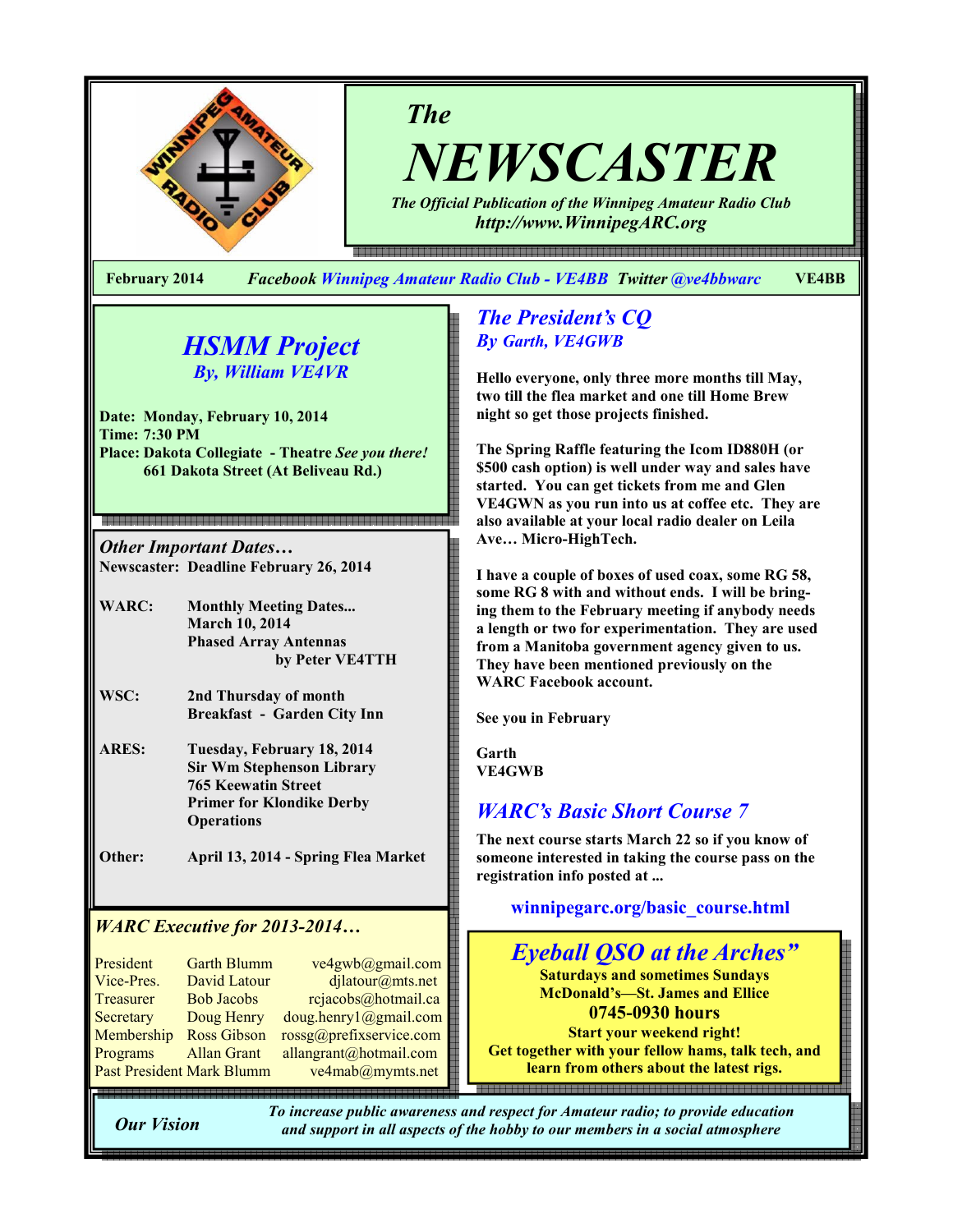

NEWSCASTER

The Official Publication of the Winnipeg Amateur Radio Club http://www.WinnipegARC.org

e en de maar de maan de maan de maan de maan de maan de maan de maan de de de maan de en de de maan de maan de

February 2014 Facebook Winnipeg Amateur Radio Club - VE4BB Twitter @ve4bbwarc VE4BB

The

# HSMM Project By, William VE4VR

Date: Monday, February 10, 2014 Time: 7:30 PM Place: Dakota Collegiate - Theatre See you there! 661 Dakota Street (At Beliveau Rd.)

Other Important Dates… Newscaster: Deadline February 26, 2014

WARC: Monthly Meeting Dates... March 10, 2014 Phased Array Antennas by Peter VE4TTH

- WSC: 2nd Thursday of month Breakfast - Garden City Inn
- ARES: Tuesday, February 18, 2014 Sir Wm Stephenson Library 765 Keewatin Street Primer for Klondike Derby **Operations**

Other: April 13, 2014 - Spring Flea Market

## WARC Executive for 2013-2014…

| President                 | <b>Garth Blumm</b> | ve4gwb@gmail.com        |
|---------------------------|--------------------|-------------------------|
| Vice-Pres.                | David Latour       | djlatour@mts.net        |
| Treasurer                 | <b>Bob Jacobs</b>  | rejaecobs@hotmail.ca    |
| Secretary                 | Doug Henry         | doug.henry1@gmail.com   |
| Membership                | <b>Ross Gibson</b> | rossg@prefixservice.com |
| Programs                  | <b>Allan Grant</b> | allangrant@hotmail.com  |
| Past President Mark Blumm |                    | ve4mab@mymts.net        |

## The President's CQ By Garth, VE4GWB

Hello everyone, only three more months till May, two till the flea market and one till Home Brew night so get those projects finished.

The Spring Raffle featuring the Icom ID880H (or \$500 cash option) is well under way and sales have started. You can get tickets from me and Glen VE4GWN as you run into us at coffee etc. They are also available at your local radio dealer on Leila Ave… Micro-HighTech.

I have a couple of boxes of used coax, some RG 58, some RG 8 with and without ends. I will be bringing them to the February meeting if anybody needs a length or two for experimentation. They are used from a Manitoba government agency given to us. They have been mentioned previously on the WARC Facebook account.

See you in February

Garth VE4GWB

# WARC's Basic Short Course 7

The next course starts March 22 so if you know of someone interested in taking the course pass on the registration info posted at ...

winnipegarc.org/basic\_course.html



Our Vision

To increase public awareness and respect for Amateur radio; to provide education and support in all aspects of the hobby to our members in a social atmosphere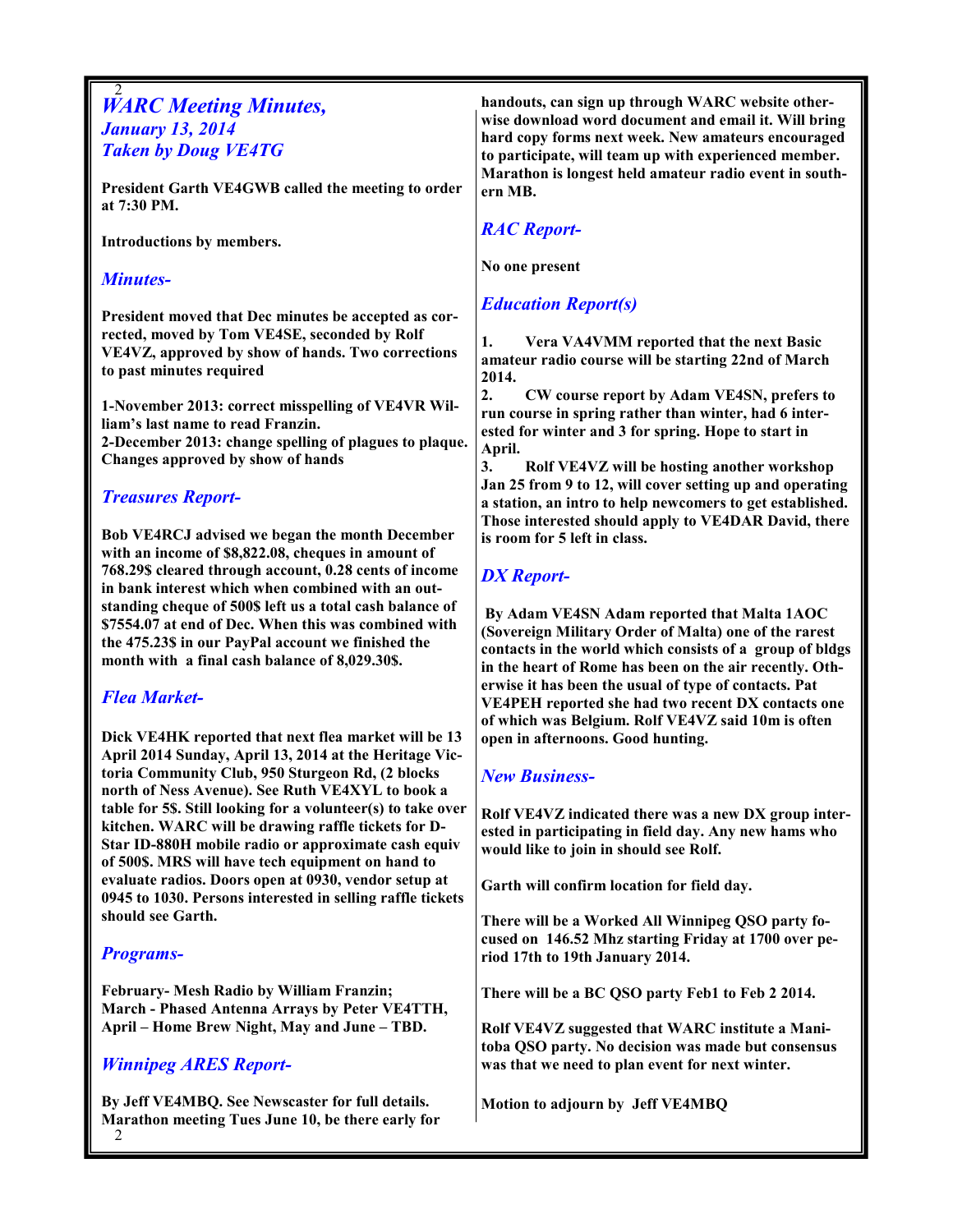#### 2 **WARC Meeting Minutes,** January 13, 2014 Taken by Doug VE4TG

President Garth VE4GWB called the meeting to order at 7:30 PM.

Introductions by members.

### Minutes-

President moved that Dec minutes be accepted as corrected, moved by Tom VE4SE, seconded by Rolf VE4VZ, approved by show of hands. Two corrections to past minutes required

1-November 2013: correct misspelling of VE4VR William's last name to read Franzin. 2-December 2013: change spelling of plagues to plaque. Changes approved by show of hands

## Treasures Report-

Bob VE4RCJ advised we began the month December with an income of \$8,822.08, cheques in amount of 768.29\$ cleared through account, 0.28 cents of income in bank interest which when combined with an outstanding cheque of 500\$ left us a total cash balance of \$7554.07 at end of Dec. When this was combined with the 475.23\$ in our PayPal account we finished the month with a final cash balance of 8,029.30\$.

## Flea Market-

Dick VE4HK reported that next flea market will be 13 April 2014 Sunday, April 13, 2014 at the Heritage Victoria Community Club, 950 Sturgeon Rd, (2 blocks north of Ness Avenue). See Ruth VE4XYL to book a table for 5\$. Still looking for a volunteer(s) to take over kitchen. WARC will be drawing raffle tickets for D-Star ID-880H mobile radio or approximate cash equiv of 500\$. MRS will have tech equipment on hand to evaluate radios. Doors open at 0930, vendor setup at 0945 to 1030. Persons interested in selling raffle tickets should see Garth.

## Programs-

February- Mesh Radio by William Franzin; March - Phased Antenna Arrays by Peter VE4TTH, April – Home Brew Night, May and June – TBD.

## Winnipeg ARES Report-

By Jeff VE4MBQ. See Newscaster for full details. Marathon meeting Tues June 10, be there early for

handouts, can sign up through WARC website otherwise download word document and email it. Will bring hard copy forms next week. New amateurs encouraged to participate, will team up with experienced member. Marathon is longest held amateur radio event in southern MB.

## RAC Report-

No one present

## Education Report(s)

1. Vera VA4VMM reported that the next Basic amateur radio course will be starting 22nd of March 2014.

2. CW course report by Adam VE4SN, prefers to run course in spring rather than winter, had 6 interested for winter and 3 for spring. Hope to start in April.

3. Rolf VE4VZ will be hosting another workshop Jan 25 from 9 to 12, will cover setting up and operating a station, an intro to help newcomers to get established. Those interested should apply to VE4DAR David, there is room for 5 left in class.

## DX Report-

 By Adam VE4SN Adam reported that Malta 1AOC (Sovereign Military Order of Malta) one of the rarest contacts in the world which consists of a group of bldgs in the heart of Rome has been on the air recently. Otherwise it has been the usual of type of contacts. Pat VE4PEH reported she had two recent DX contacts one of which was Belgium. Rolf VE4VZ said 10m is often open in afternoons. Good hunting.

#### New Business-

Rolf VE4VZ indicated there was a new DX group interested in participating in field day. Any new hams who would like to join in should see Rolf.

Garth will confirm location for field day.

There will be a Worked All Winnipeg QSO party focused on 146.52 Mhz starting Friday at 1700 over period 17th to 19th January 2014.

There will be a BC QSO party Feb1 to Feb 2 2014.

Rolf VE4VZ suggested that WARC institute a Manitoba QSO party. No decision was made but consensus was that we need to plan event for next winter.

Motion to adjourn by Jeff VE4MBQ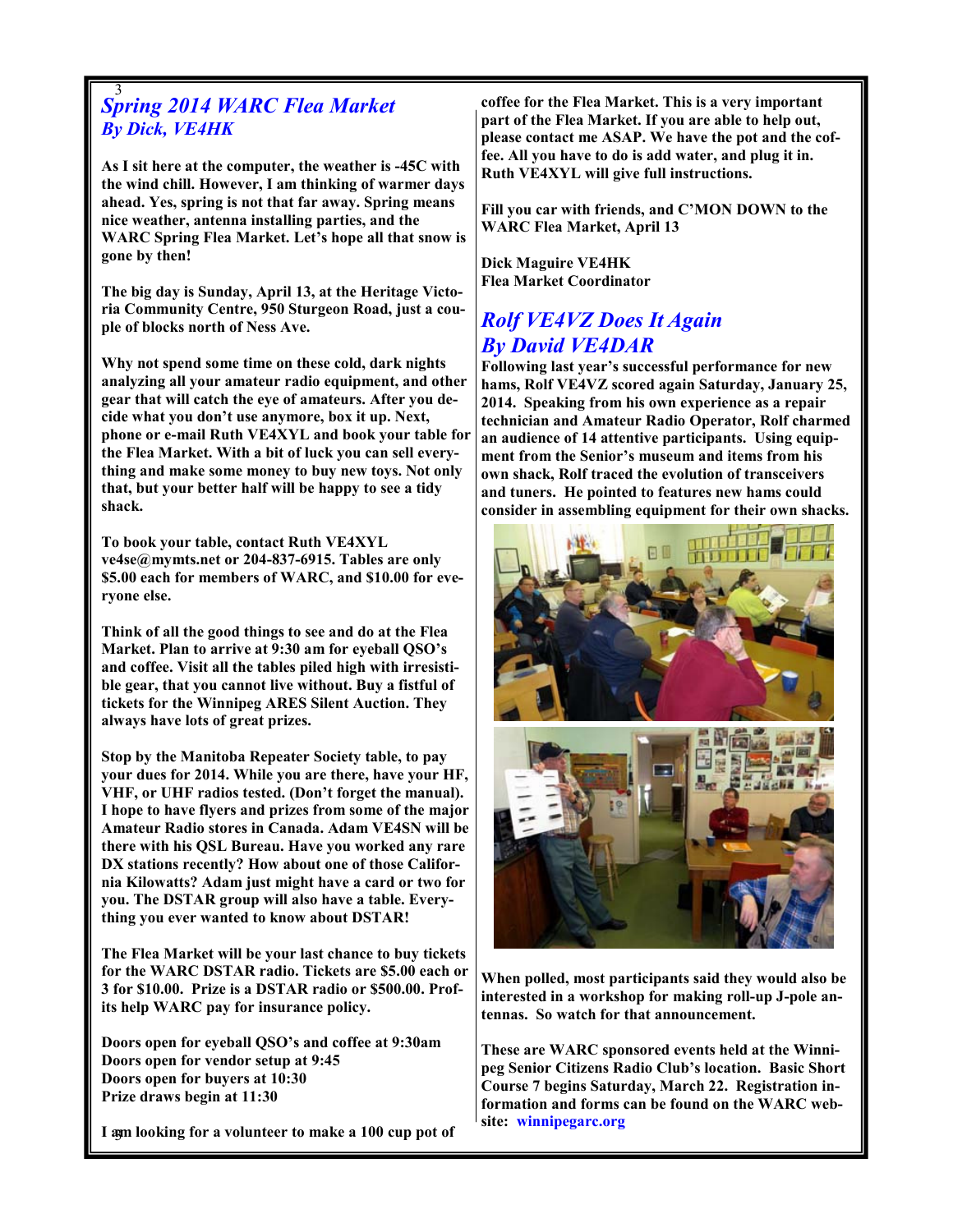#### 3 Spring 2014 WARC Flea Market By Dick, VE4HK

As I sit here at the computer, the weather is -45C with the wind chill. However, I am thinking of warmer days ahead. Yes, spring is not that far away. Spring means nice weather, antenna installing parties, and the WARC Spring Flea Market. Let's hope all that snow is gone by then!

The big day is Sunday, April 13, at the Heritage Victoria Community Centre, 950 Sturgeon Road, just a couple of blocks north of Ness Ave.

Why not spend some time on these cold, dark nights analyzing all your amateur radio equipment, and other gear that will catch the eye of amateurs. After you decide what you don't use anymore, box it up. Next, phone or e-mail Ruth VE4XYL and book your table for the Flea Market. With a bit of luck you can sell everything and make some money to buy new toys. Not only that, but your better half will be happy to see a tidy shack.

To book your table, contact Ruth VE4XYL ve4se@mymts.net or 204-837-6915. Tables are only \$5.00 each for members of WARC, and \$10.00 for everyone else.

Think of all the good things to see and do at the Flea Market. Plan to arrive at 9:30 am for eyeball QSO's and coffee. Visit all the tables piled high with irresistible gear, that you cannot live without. Buy a fistful of tickets for the Winnipeg ARES Silent Auction. They always have lots of great prizes.

Stop by the Manitoba Repeater Society table, to pay your dues for 2014. While you are there, have your HF, VHF, or UHF radios tested. (Don't forget the manual). I hope to have flyers and prizes from some of the major Amateur Radio stores in Canada. Adam VE4SN will be there with his QSL Bureau. Have you worked any rare DX stations recently? How about one of those California Kilowatts? Adam just might have a card or two for you. The DSTAR group will also have a table. Everything you ever wanted to know about DSTAR!

The Flea Market will be your last chance to buy tickets for the WARC DSTAR radio. Tickets are \$5.00 each or 3 for \$10.00. Prize is a DSTAR radio or \$500.00. Profits help WARC pay for insurance policy.

Doors open for eyeball QSO's and coffee at 9:30am Doors open for vendor setup at 9:45 Doors open for buyers at 10:30 Prize draws begin at 11:30

I am looking for a volunteer to make a 100 cup pot of

coffee for the Flea Market. This is a very important part of the Flea Market. If you are able to help out, please contact me ASAP. We have the pot and the coffee. All you have to do is add water, and plug it in. Ruth VE4XYL will give full instructions.

Fill you car with friends, and C'MON DOWN to the WARC Flea Market, April 13

Dick Maguire VE4HK Flea Market Coordinator

## Rolf VE4VZ Does It Again By David VE4DAR

Following last year's successful performance for new hams, Rolf VE4VZ scored again Saturday, January 25, 2014. Speaking from his own experience as a repair technician and Amateur Radio Operator, Rolf charmed an audience of 14 attentive participants. Using equipment from the Senior's museum and items from his own shack, Rolf traced the evolution of transceivers and tuners. He pointed to features new hams could consider in assembling equipment for their own shacks.



When polled, most participants said they would also be interested in a workshop for making roll-up J-pole antennas. So watch for that announcement.

These are WARC sponsored events held at the Winnipeg Senior Citizens Radio Club's location. Basic Short Course 7 begins Saturday, March 22. Registration information and forms can be found on the WARC website: winnipegarc.org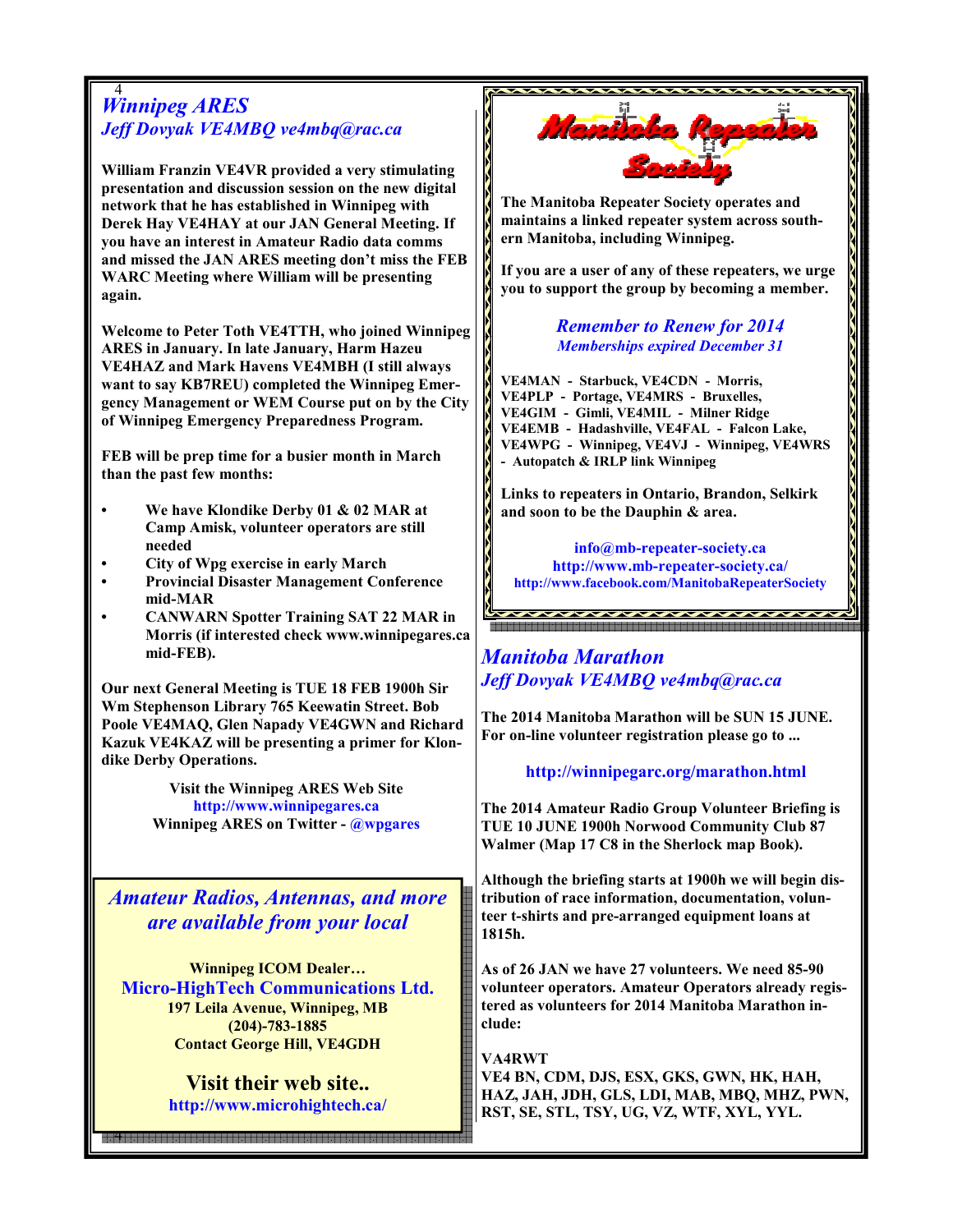#### 4 Winnipeg ARES Jeff Dovyak VE4MBQ ve4mbq@rac.ca

William Franzin VE4VR provided a very stimulating presentation and discussion session on the new digital network that he has established in Winnipeg with Derek Hay VE4HAY at our JAN General Meeting. If you have an interest in Amateur Radio data comms and missed the JAN ARES meeting don't miss the FEB WARC Meeting where William will be presenting again.

Welcome to Peter Toth VE4TTH, who joined Winnipeg ARES in January. In late January, Harm Hazeu VE4HAZ and Mark Havens VE4MBH (I still always want to say KB7REU) completed the Winnipeg Emergency Management or WEM Course put on by the City of Winnipeg Emergency Preparedness Program.

FEB will be prep time for a busier month in March than the past few months:

- We have Klondike Derby 01 & 02 MAR at Camp Amisk, volunteer operators are still needed
- City of Wpg exercise in early March
- Provincial Disaster Management Conference mid-MAR
- CANWARN Spotter Training SAT 22 MAR in Morris (if interested check www.winnipegares.ca mid-FEB).

Our next General Meeting is TUE 18 FEB 1900h Sir Wm Stephenson Library 765 Keewatin Street. Bob Poole VE4MAQ, Glen Napady VE4GWN and Richard Kazuk VE4KAZ will be presenting a primer for Klondike Derby Operations.

> Visit the Winnipeg ARES Web Site http://www.winnipegares.ca Winnipeg ARES on Twitter - @wpgares

Amateur Radios, Antennas, and more are available from your local

Winnipeg ICOM Dealer… Micro-HighTech Communications Ltd. 197 Leila Avenue, Winnipeg, MB (204)-783-1885 Contact George Hill, VE4GDH

> Visit their web site.. http://www.microhightech.ca/

4 .<br>이 10 시간에 대한 전 10 시간에 대한 전 10 시간에 대한 전 10 시간에 대한 전 10 시간에 대한 전 10 시간에 대한 전 10 시간에 대한 전 10 시간에 대한 전 10 시간에 대한 10<br>이 10 시간에 대한 10 시간에 대한 10 시간에 대한 10 시간에 대한 10 시간에 대한 10 시간에 대한 10 시간에 대한 10 시간에 대한 10 시간에 대한 10 시간에 대한 10 시간에



The Manitoba Repeater Society operates and maintains a linked repeater system across southern Manitoba, including Winnipeg.

If you are a user of any of these repeaters, we urge you to support the group by becoming a member.

#### Remember to Renew for 2014 Memberships expired December 31

VE4MAN - Starbuck, VE4CDN - Morris, VE4PLP - Portage, VE4MRS - Bruxelles, VE4GIM - Gimli, VE4MIL - Milner Ridge VE4EMB - Hadashville, VE4FAL - Falcon Lake, VE4WPG - Winnipeg, VE4VJ - Winnipeg, VE4WRS - Autopatch & IRLP link Winnipeg

Links to repeaters in Ontario, Brandon, Selkirk and soon to be the Dauphin & area.

info@mb-repeater-society.ca http://www.mb-repeater-society.ca/ http://www.facebook.com/ManitobaRepeaterSociety

# Manitoba Marathon Jeff Dovyak VE4MBQ ve4mbq@rac.ca

The 2014 Manitoba Marathon will be SUN 15 JUNE. For on-line volunteer registration please go to ...

#### http://winnipegarc.org/marathon.html

The 2014 Amateur Radio Group Volunteer Briefing is TUE 10 JUNE 1900h Norwood Community Club 87 Walmer (Map 17 C8 in the Sherlock map Book).

Although the briefing starts at 1900h we will begin distribution of race information, documentation, volunteer t-shirts and pre-arranged equipment loans at 1815h.

As of 26 JAN we have 27 volunteers. We need 85-90 volunteer operators. Amateur Operators already registered as volunteers for 2014 Manitoba Marathon include:

VA4RWT VE4 BN, CDM, DJS, ESX, GKS, GWN, HK, HAH, HAZ, JAH, JDH, GLS, LDI, MAB, MBQ, MHZ, PWN, RST, SE, STL, TSY, UG, VZ, WTF, XYL, YYL.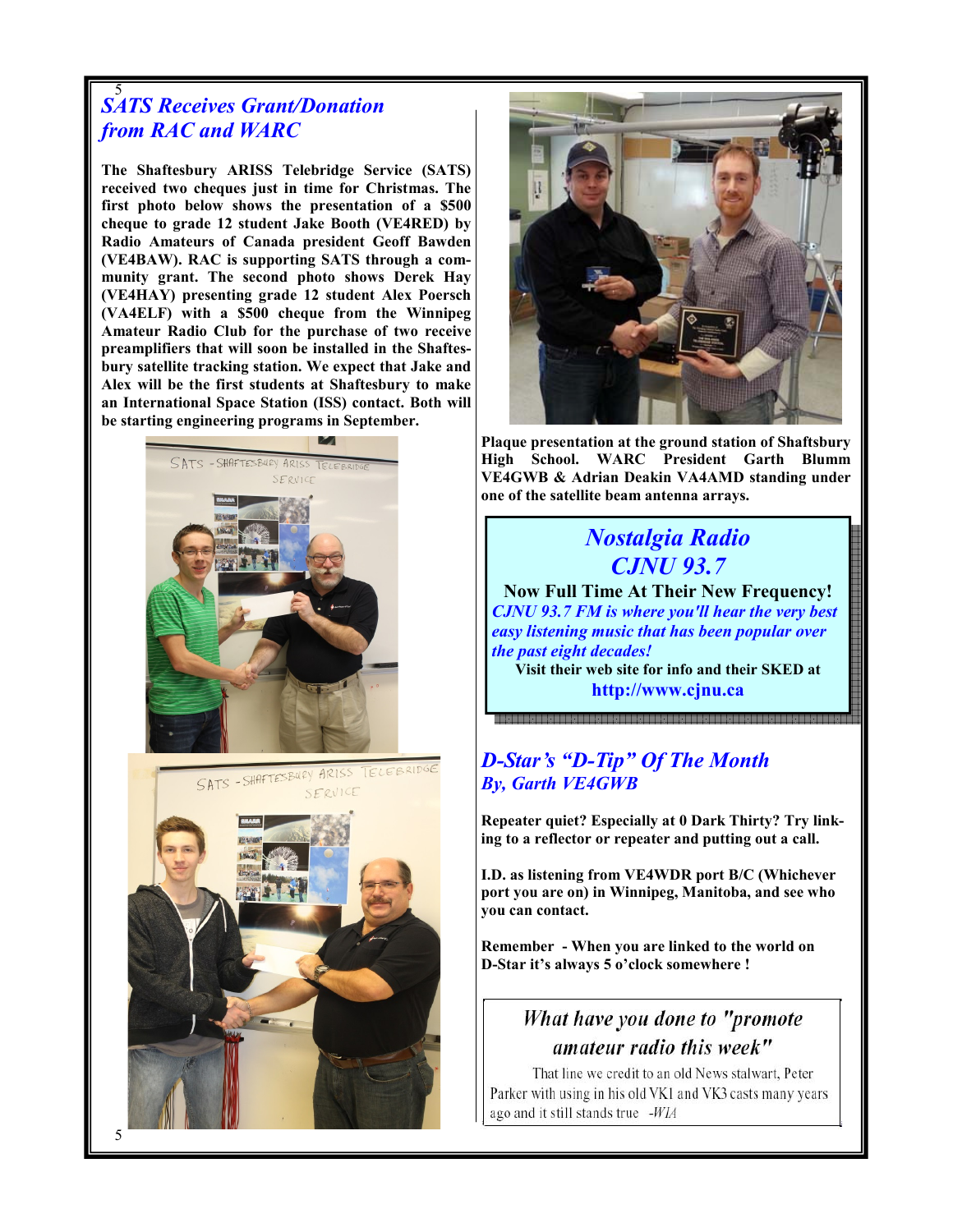#### 5 SATS Receives Grant/Donation from RAC and WARC

The Shaftesbury ARISS Telebridge Service (SATS) received two cheques just in time for Christmas. The first photo below shows the presentation of a \$500 cheque to grade 12 student Jake Booth (VE4RED) by Radio Amateurs of Canada president Geoff Bawden (VE4BAW). RAC is supporting SATS through a community grant. The second photo shows Derek Hay (VE4HAY) presenting grade 12 student Alex Poersch (VA4ELF) with a \$500 cheque from the Winnipeg Amateur Radio Club for the purchase of two receive preamplifiers that will soon be installed in the Shaftesbury satellite tracking station. We expect that Jake and Alex will be the first students at Shaftesbury to make an International Space Station (ISS) contact. Both will be starting engineering programs in September.







Plaque presentation at the ground station of Shaftsbury High School. WARC President Garth Blumm VE4GWB & Adrian Deakin VA4AMD standing under one of the satellite beam antenna arrays.

# Nostalgia Radio CJNU 93.7

Now Full Time At Their New Frequency! CJNU 93.7 FM is where you'll hear the very best easy listening music that has been popular over the past eight decades! Visit their web site for info and their SKED at

http://www.cjnu.ca

## D-Star's "D-Tip" Of The Month By, Garth VE4GWB

Repeater quiet? Especially at 0 Dark Thirty? Try linking to a reflector or repeater and putting out a call.

I.D. as listening from VE4WDR port B/C (Whichever port you are on) in Winnipeg, Manitoba, and see who you can contact.

Remember - When you are linked to the world on D-Star it's always 5 o'clock somewhere !

# What have you done to "promote amateur radio this week"

That line we credit to an old News stalwart, Peter Parker with using in his old VK1 and VK3 casts many years ago and it still stands true -WIA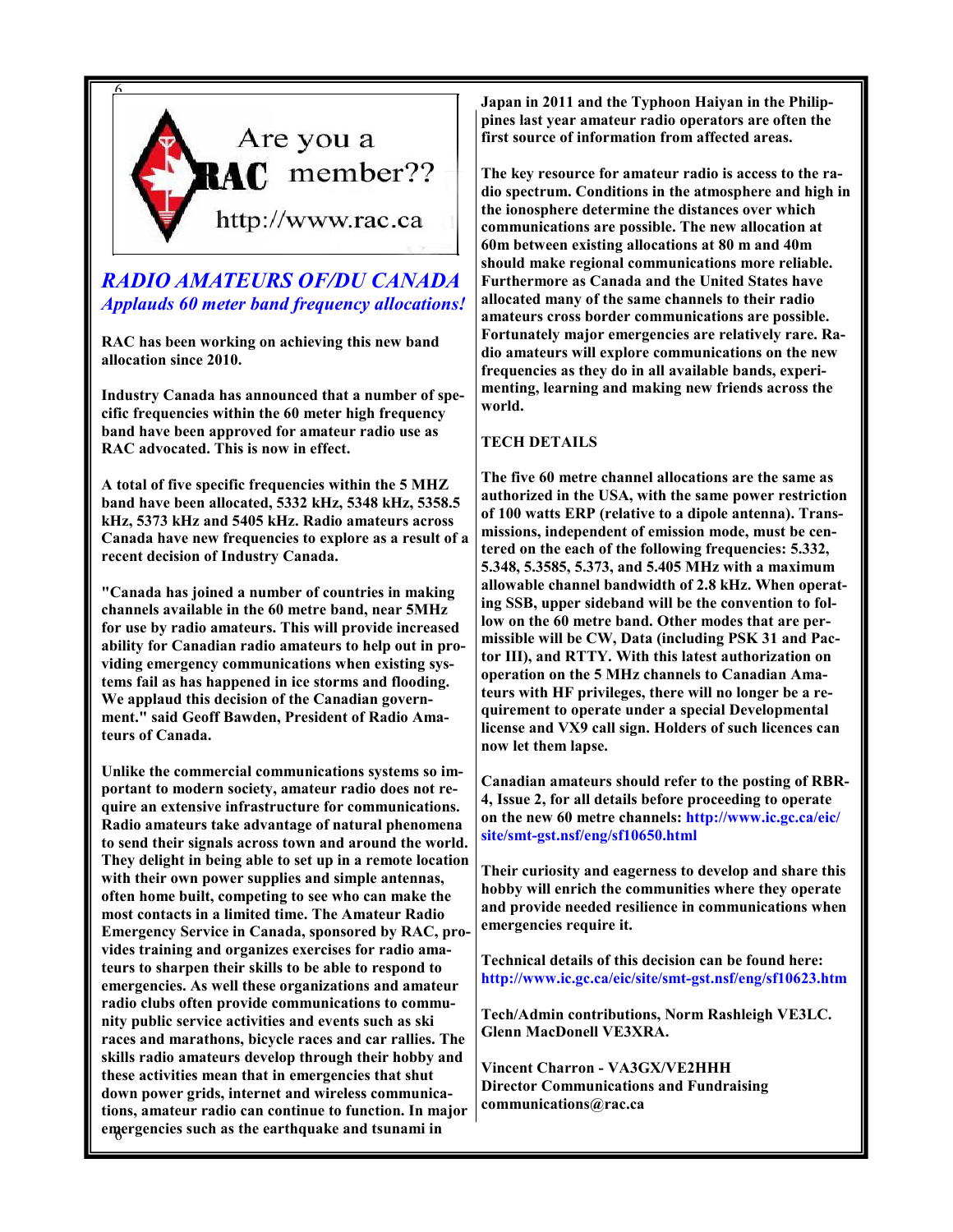

## RADIO AMATEURS OF/DU CANADA Applauds 60 meter band frequency allocations!

RAC has been working on achieving this new band allocation since 2010.

Industry Canada has announced that a number of specific frequencies within the 60 meter high frequency band have been approved for amateur radio use as RAC advocated. This is now in effect.

A total of five specific frequencies within the 5 MHZ band have been allocated, 5332 kHz, 5348 kHz, 5358.5 kHz, 5373 kHz and 5405 kHz. Radio amateurs across Canada have new frequencies to explore as a result of a recent decision of Industry Canada.

"Canada has joined a number of countries in making channels available in the 60 metre band, near 5MHz for use by radio amateurs. This will provide increased ability for Canadian radio amateurs to help out in providing emergency communications when existing systems fail as has happened in ice storms and flooding. We applaud this decision of the Canadian government." said Geoff Bawden, President of Radio Amateurs of Canada.

6 emergencies such as the earthquake and tsunami in Unlike the commercial communications systems so important to modern society, amateur radio does not require an extensive infrastructure for communications. Radio amateurs take advantage of natural phenomena to send their signals across town and around the world. They delight in being able to set up in a remote location with their own power supplies and simple antennas, often home built, competing to see who can make the most contacts in a limited time. The Amateur Radio Emergency Service in Canada, sponsored by RAC, provides training and organizes exercises for radio amateurs to sharpen their skills to be able to respond to emergencies. As well these organizations and amateur radio clubs often provide communications to community public service activities and events such as ski races and marathons, bicycle races and car rallies. The skills radio amateurs develop through their hobby and these activities mean that in emergencies that shut down power grids, internet and wireless communications, amateur radio can continue to function. In major Japan in 2011 and the Typhoon Haiyan in the Philippines last year amateur radio operators are often the first source of information from affected areas.

The key resource for amateur radio is access to the radio spectrum. Conditions in the atmosphere and high in the ionosphere determine the distances over which communications are possible. The new allocation at 60m between existing allocations at 80 m and 40m should make regional communications more reliable. Furthermore as Canada and the United States have allocated many of the same channels to their radio amateurs cross border communications are possible. Fortunately major emergencies are relatively rare. Radio amateurs will explore communications on the new frequencies as they do in all available bands, experimenting, learning and making new friends across the world.

#### TECH DETAILS

The five 60 metre channel allocations are the same as authorized in the USA, with the same power restriction of 100 watts ERP (relative to a dipole antenna). Transmissions, independent of emission mode, must be centered on the each of the following frequencies: 5.332, 5.348, 5.3585, 5.373, and 5.405 MHz with a maximum allowable channel bandwidth of 2.8 kHz. When operating SSB, upper sideband will be the convention to follow on the 60 metre band. Other modes that are permissible will be CW, Data (including PSK 31 and Pactor III), and RTTY. With this latest authorization on operation on the 5 MHz channels to Canadian Amateurs with HF privileges, there will no longer be a requirement to operate under a special Developmental license and VX9 call sign. Holders of such licences can now let them lapse.

Canadian amateurs should refer to the posting of RBR-4, Issue 2, for all details before proceeding to operate on the new 60 metre channels: http://www.ic.gc.ca/eic/ site/smt-gst.nsf/eng/sf10650.html

Their curiosity and eagerness to develop and share this hobby will enrich the communities where they operate and provide needed resilience in communications when emergencies require it.

Technical details of this decision can be found here: http://www.ic.gc.ca/eic/site/smt-gst.nsf/eng/sf10623.htm

Tech/Admin contributions, Norm Rashleigh VE3LC. Glenn MacDonell VE3XRA.

Vincent Charron - VA3GX/VE2HHH Director Communications and Fundraising communications@rac.ca